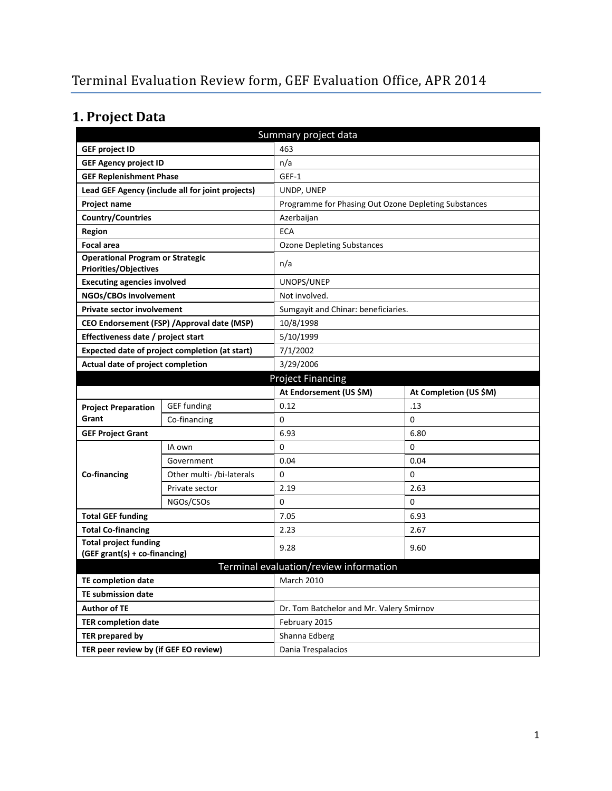# **1. Project Data**

|                                                                         |                                                  | Summary project data                                 |                                     |  |  |
|-------------------------------------------------------------------------|--------------------------------------------------|------------------------------------------------------|-------------------------------------|--|--|
| <b>GEF project ID</b>                                                   |                                                  | 463                                                  |                                     |  |  |
| <b>GEF Agency project ID</b>                                            |                                                  | n/a                                                  |                                     |  |  |
| <b>GEF Replenishment Phase</b>                                          |                                                  | GEF-1                                                |                                     |  |  |
|                                                                         | Lead GEF Agency (include all for joint projects) | UNDP, UNEP                                           |                                     |  |  |
| <b>Project name</b>                                                     |                                                  | Programme for Phasing Out Ozone Depleting Substances |                                     |  |  |
| <b>Country/Countries</b>                                                |                                                  | Azerbaijan                                           |                                     |  |  |
| <b>Region</b>                                                           |                                                  | <b>ECA</b>                                           |                                     |  |  |
| <b>Focal area</b>                                                       |                                                  | <b>Ozone Depleting Substances</b>                    |                                     |  |  |
| <b>Operational Program or Strategic</b><br><b>Priorities/Objectives</b> |                                                  | n/a                                                  |                                     |  |  |
| <b>Executing agencies involved</b>                                      |                                                  | UNOPS/UNEP                                           |                                     |  |  |
| NGOs/CBOs involvement                                                   |                                                  | Not involved.                                        |                                     |  |  |
| <b>Private sector involvement</b>                                       |                                                  |                                                      | Sumgayit and Chinar: beneficiaries. |  |  |
|                                                                         | CEO Endorsement (FSP) / Approval date (MSP)      | 10/8/1998                                            |                                     |  |  |
| Effectiveness date / project start                                      |                                                  | 5/10/1999                                            |                                     |  |  |
| Expected date of project completion (at start)                          |                                                  | 7/1/2002                                             |                                     |  |  |
| Actual date of project completion                                       |                                                  | 3/29/2006                                            |                                     |  |  |
| <b>Project Financing</b>                                                |                                                  |                                                      |                                     |  |  |
|                                                                         |                                                  | At Endorsement (US \$M)                              | At Completion (US \$M)              |  |  |
| <b>Project Preparation</b>                                              | <b>GEF</b> funding                               | 0.12                                                 | .13                                 |  |  |
| Grant                                                                   | Co-financing                                     | 0                                                    | 0                                   |  |  |
| <b>GEF Project Grant</b>                                                |                                                  | 6.93                                                 | 6.80                                |  |  |
|                                                                         | IA own                                           | 0                                                    | 0                                   |  |  |
|                                                                         | Government                                       | 0.04                                                 | 0.04                                |  |  |
| Co-financing                                                            | Other multi- /bi-laterals                        | 0                                                    | 0                                   |  |  |
|                                                                         | Private sector                                   | 2.19                                                 | 2.63                                |  |  |
|                                                                         | NGOs/CSOs                                        | 0                                                    | 0                                   |  |  |
| <b>Total GEF funding</b>                                                |                                                  | 7.05                                                 | 6.93                                |  |  |
| <b>Total Co-financing</b>                                               |                                                  | 2.23                                                 | 2.67                                |  |  |
| <b>Total project funding</b>                                            |                                                  | 9.28                                                 | 9.60                                |  |  |
| (GEF grant(s) + co-financing)                                           |                                                  |                                                      |                                     |  |  |
| Terminal evaluation/review information                                  |                                                  |                                                      |                                     |  |  |
| <b>TE completion date</b>                                               |                                                  | March 2010                                           |                                     |  |  |
| <b>TE submission date</b>                                               |                                                  |                                                      |                                     |  |  |
| <b>Author of TE</b>                                                     |                                                  | Dr. Tom Batchelor and Mr. Valery Smirnov             |                                     |  |  |
| <b>TER completion date</b>                                              |                                                  | February 2015                                        |                                     |  |  |
| TER prepared by                                                         |                                                  | Shanna Edberg                                        |                                     |  |  |
|                                                                         | TER peer review by (if GEF EO review)            |                                                      | Dania Trespalacios                  |  |  |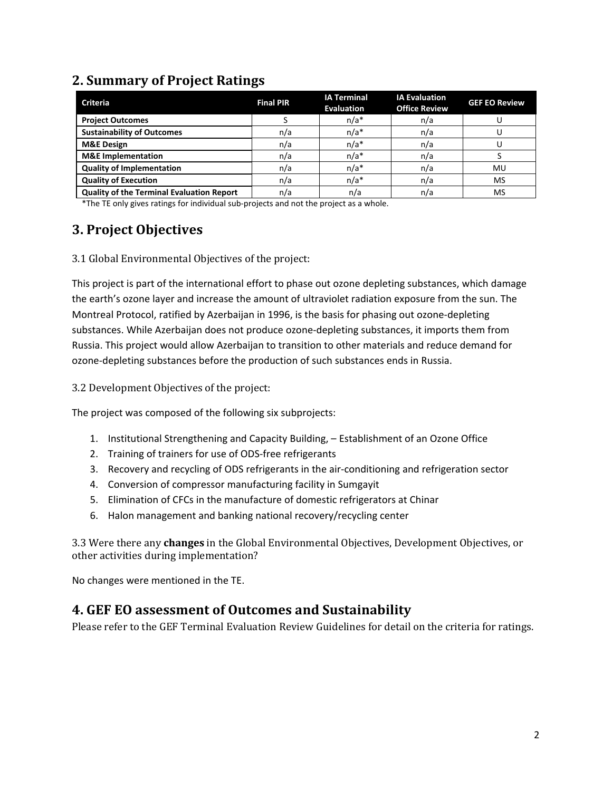### **2. Summary of Project Ratings**

| <b>Criteria</b>                                  | <b>Final PIR</b> | <b>IA Terminal</b><br><b>Evaluation</b> | <b>IA Evaluation</b><br><b>Office Review</b> | <b>GEF EO Review</b> |
|--------------------------------------------------|------------------|-----------------------------------------|----------------------------------------------|----------------------|
| <b>Project Outcomes</b>                          |                  | $n/a*$                                  | n/a                                          |                      |
| <b>Sustainability of Outcomes</b>                | n/a              | $n/a*$                                  | n/a                                          |                      |
| <b>M&amp;E Design</b>                            | n/a              | $n/a*$                                  | n/a                                          |                      |
| <b>M&amp;E</b> Implementation                    | n/a              | $n/a*$                                  | n/a                                          |                      |
| <b>Quality of Implementation</b>                 | n/a              | $n/a*$                                  | n/a                                          | MU                   |
| <b>Quality of Execution</b>                      | n/a              | $n/a*$                                  | n/a                                          | MS                   |
| <b>Quality of the Terminal Evaluation Report</b> | n/a              | n/a                                     | n/a                                          | MS                   |

\*The TE only gives ratings for individual sub-projects and not the project as a whole.

## **3. Project Objectives**

3.1 Global Environmental Objectives of the project:

This project is part of the international effort to phase out ozone depleting substances, which damage the earth's ozone layer and increase the amount of ultraviolet radiation exposure from the sun. The Montreal Protocol, ratified by Azerbaijan in 1996, is the basis for phasing out ozone-depleting substances. While Azerbaijan does not produce ozone-depleting substances, it imports them from Russia. This project would allow Azerbaijan to transition to other materials and reduce demand for ozone-depleting substances before the production of such substances ends in Russia.

3.2 Development Objectives of the project:

The project was composed of the following six subprojects:

- 1. Institutional Strengthening and Capacity Building, Establishment of an Ozone Office
- 2. Training of trainers for use of ODS-free refrigerants
- 3. Recovery and recycling of ODS refrigerants in the air-conditioning and refrigeration sector
- 4. Conversion of compressor manufacturing facility in Sumgayit
- 5. Elimination of CFCs in the manufacture of domestic refrigerators at Chinar
- 6. Halon management and banking national recovery/recycling center

3.3 Were there any **changes** in the Global Environmental Objectives, Development Objectives, or other activities during implementation?

No changes were mentioned in the TE.

#### **4. GEF EO assessment of Outcomes and Sustainability**

Please refer to the GEF Terminal Evaluation Review Guidelines for detail on the criteria for ratings.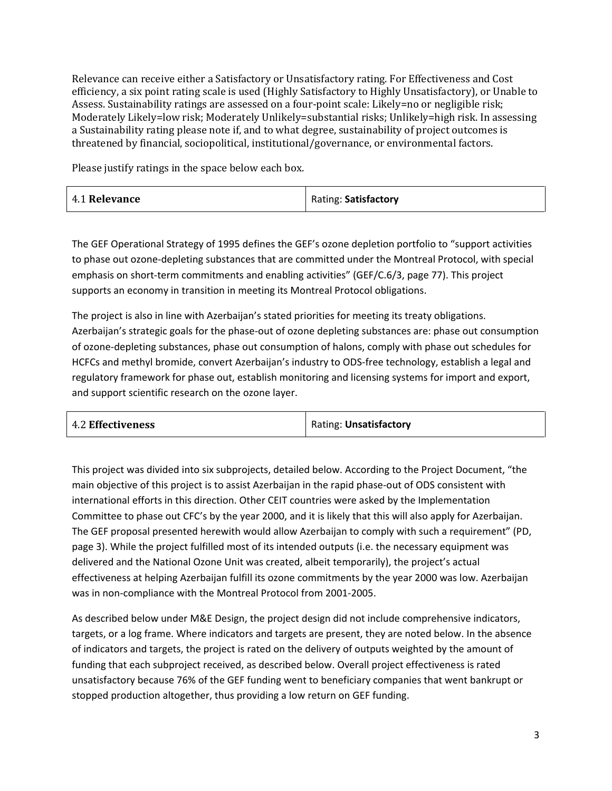Relevance can receive either a Satisfactory or Unsatisfactory rating. For Effectiveness and Cost efficiency, a six point rating scale is used (Highly Satisfactory to Highly Unsatisfactory), or Unable to Assess. Sustainability ratings are assessed on a four-point scale: Likely=no or negligible risk; Moderately Likely=low risk; Moderately Unlikely=substantial risks; Unlikely=high risk. In assessing a Sustainability rating please note if, and to what degree, sustainability of project outcomes is threatened by financial, sociopolitical, institutional/governance, or environmental factors.

Please justify ratings in the space below each box.

| 4.1 Relevance | Rating: Satisfactory |
|---------------|----------------------|
|---------------|----------------------|

The GEF Operational Strategy of 1995 defines the GEF's ozone depletion portfolio to "support activities to phase out ozone-depleting substances that are committed under the Montreal Protocol, with special emphasis on short-term commitments and enabling activities" (GEF/C.6/3, page 77). This project supports an economy in transition in meeting its Montreal Protocol obligations.

The project is also in line with Azerbaijan's stated priorities for meeting its treaty obligations. Azerbaijan's strategic goals for the phase-out of ozone depleting substances are: phase out consumption of ozone-depleting substances, phase out consumption of halons, comply with phase out schedules for HCFCs and methyl bromide, convert Azerbaijan's industry to ODS-free technology, establish a legal and regulatory framework for phase out, establish monitoring and licensing systems for import and export, and support scientific research on the ozone layer.

| <b>4.2 Effectiveness</b> | Rating: Unsatisfactory |
|--------------------------|------------------------|
|--------------------------|------------------------|

This project was divided into six subprojects, detailed below. According to the Project Document, "the main objective of this project is to assist Azerbaijan in the rapid phase-out of ODS consistent with international efforts in this direction. Other CEIT countries were asked by the Implementation Committee to phase out CFC's by the year 2000, and it is likely that this will also apply for Azerbaijan. The GEF proposal presented herewith would allow Azerbaijan to comply with such a requirement" (PD, page 3). While the project fulfilled most of its intended outputs (i.e. the necessary equipment was delivered and the National Ozone Unit was created, albeit temporarily), the project's actual effectiveness at helping Azerbaijan fulfill its ozone commitments by the year 2000 was low. Azerbaijan was in non-compliance with the Montreal Protocol from 2001-2005.

As described below under M&E Design, the project design did not include comprehensive indicators, targets, or a log frame. Where indicators and targets are present, they are noted below. In the absence of indicators and targets, the project is rated on the delivery of outputs weighted by the amount of funding that each subproject received, as described below. Overall project effectiveness is rated unsatisfactory because 76% of the GEF funding went to beneficiary companies that went bankrupt or stopped production altogether, thus providing a low return on GEF funding.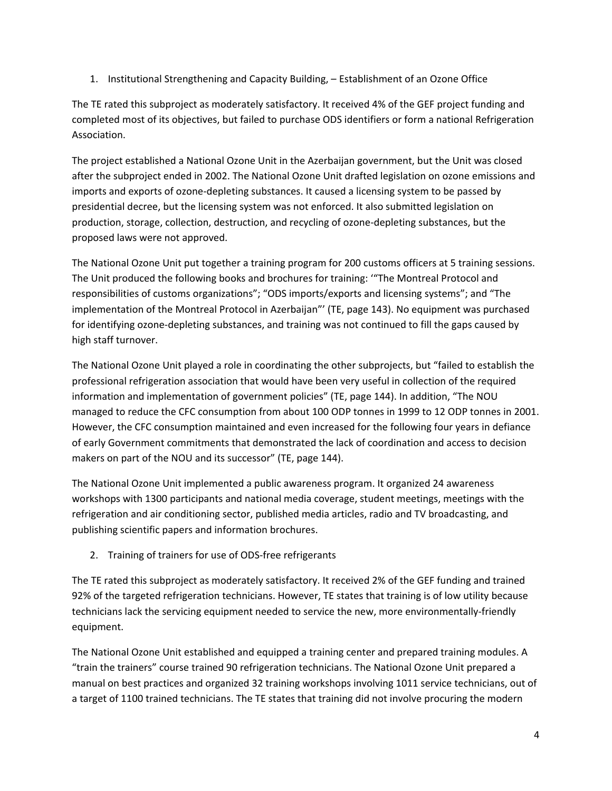1. Institutional Strengthening and Capacity Building, – Establishment of an Ozone Office

The TE rated this subproject as moderately satisfactory. It received 4% of the GEF project funding and completed most of its objectives, but failed to purchase ODS identifiers or form a national Refrigeration Association.

The project established a National Ozone Unit in the Azerbaijan government, but the Unit was closed after the subproject ended in 2002. The National Ozone Unit drafted legislation on ozone emissions and imports and exports of ozone-depleting substances. It caused a licensing system to be passed by presidential decree, but the licensing system was not enforced. It also submitted legislation on production, storage, collection, destruction, and recycling of ozone-depleting substances, but the proposed laws were not approved.

The National Ozone Unit put together a training program for 200 customs officers at 5 training sessions. The Unit produced the following books and brochures for training: '"The Montreal Protocol and responsibilities of customs organizations"; "ODS imports/exports and licensing systems"; and "The implementation of the Montreal Protocol in Azerbaijan"' (TE, page 143). No equipment was purchased for identifying ozone-depleting substances, and training was not continued to fill the gaps caused by high staff turnover.

The National Ozone Unit played a role in coordinating the other subprojects, but "failed to establish the professional refrigeration association that would have been very useful in collection of the required information and implementation of government policies" (TE, page 144). In addition, "The NOU managed to reduce the CFC consumption from about 100 ODP tonnes in 1999 to 12 ODP tonnes in 2001. However, the CFC consumption maintained and even increased for the following four years in defiance of early Government commitments that demonstrated the lack of coordination and access to decision makers on part of the NOU and its successor" (TE, page 144).

The National Ozone Unit implemented a public awareness program. It organized 24 awareness workshops with 1300 participants and national media coverage, student meetings, meetings with the refrigeration and air conditioning sector, published media articles, radio and TV broadcasting, and publishing scientific papers and information brochures.

2. Training of trainers for use of ODS-free refrigerants

The TE rated this subproject as moderately satisfactory. It received 2% of the GEF funding and trained 92% of the targeted refrigeration technicians. However, TE states that training is of low utility because technicians lack the servicing equipment needed to service the new, more environmentally-friendly equipment.

The National Ozone Unit established and equipped a training center and prepared training modules. A "train the trainers" course trained 90 refrigeration technicians. The National Ozone Unit prepared a manual on best practices and organized 32 training workshops involving 1011 service technicians, out of a target of 1100 trained technicians. The TE states that training did not involve procuring the modern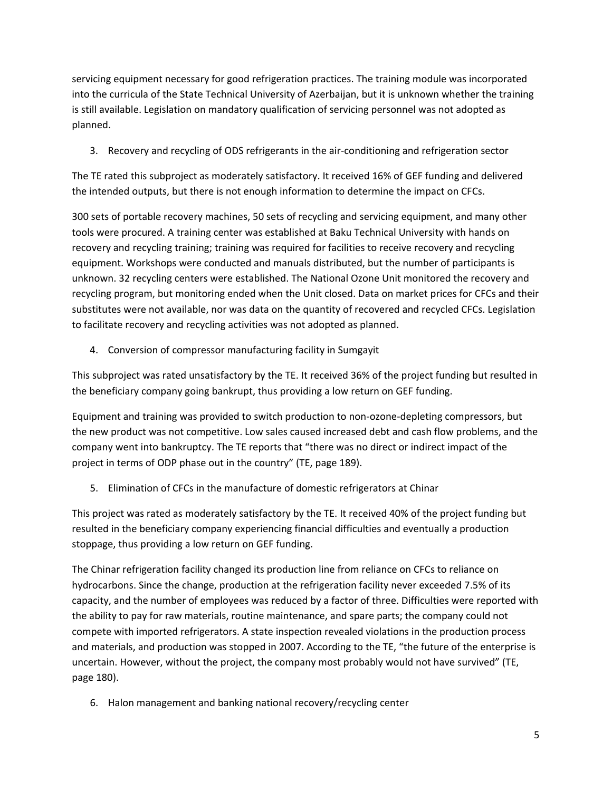servicing equipment necessary for good refrigeration practices. The training module was incorporated into the curricula of the State Technical University of Azerbaijan, but it is unknown whether the training is still available. Legislation on mandatory qualification of servicing personnel was not adopted as planned.

3. Recovery and recycling of ODS refrigerants in the air-conditioning and refrigeration sector

The TE rated this subproject as moderately satisfactory. It received 16% of GEF funding and delivered the intended outputs, but there is not enough information to determine the impact on CFCs.

300 sets of portable recovery machines, 50 sets of recycling and servicing equipment, and many other tools were procured. A training center was established at Baku Technical University with hands on recovery and recycling training; training was required for facilities to receive recovery and recycling equipment. Workshops were conducted and manuals distributed, but the number of participants is unknown. 32 recycling centers were established. The National Ozone Unit monitored the recovery and recycling program, but monitoring ended when the Unit closed. Data on market prices for CFCs and their substitutes were not available, nor was data on the quantity of recovered and recycled CFCs. Legislation to facilitate recovery and recycling activities was not adopted as planned.

4. Conversion of compressor manufacturing facility in Sumgayit

This subproject was rated unsatisfactory by the TE. It received 36% of the project funding but resulted in the beneficiary company going bankrupt, thus providing a low return on GEF funding.

Equipment and training was provided to switch production to non-ozone-depleting compressors, but the new product was not competitive. Low sales caused increased debt and cash flow problems, and the company went into bankruptcy. The TE reports that "there was no direct or indirect impact of the project in terms of ODP phase out in the country" (TE, page 189).

5. Elimination of CFCs in the manufacture of domestic refrigerators at Chinar

This project was rated as moderately satisfactory by the TE. It received 40% of the project funding but resulted in the beneficiary company experiencing financial difficulties and eventually a production stoppage, thus providing a low return on GEF funding.

The Chinar refrigeration facility changed its production line from reliance on CFCs to reliance on hydrocarbons. Since the change, production at the refrigeration facility never exceeded 7.5% of its capacity, and the number of employees was reduced by a factor of three. Difficulties were reported with the ability to pay for raw materials, routine maintenance, and spare parts; the company could not compete with imported refrigerators. A state inspection revealed violations in the production process and materials, and production was stopped in 2007. According to the TE, "the future of the enterprise is uncertain. However, without the project, the company most probably would not have survived" (TE, page 180).

6. Halon management and banking national recovery/recycling center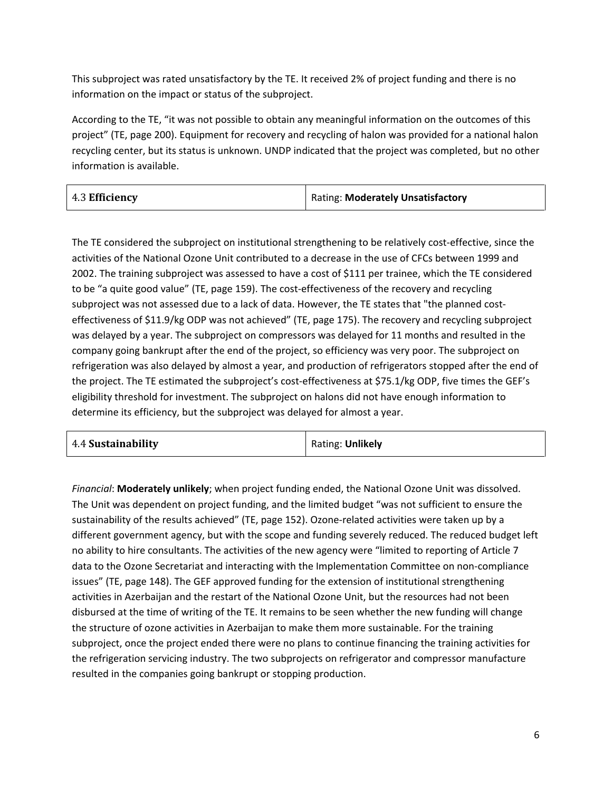This subproject was rated unsatisfactory by the TE. It received 2% of project funding and there is no information on the impact or status of the subproject.

According to the TE, "it was not possible to obtain any meaningful information on the outcomes of this project" (TE, page 200). Equipment for recovery and recycling of halon was provided for a national halon recycling center, but its status is unknown. UNDP indicated that the project was completed, but no other information is available.

| 4.3 Efficiency | Rating: Moderately Unsatisfactory |
|----------------|-----------------------------------|
|                |                                   |

The TE considered the subproject on institutional strengthening to be relatively cost-effective, since the activities of the National Ozone Unit contributed to a decrease in the use of CFCs between 1999 and 2002. The training subproject was assessed to have a cost of \$111 per trainee, which the TE considered to be "a quite good value" (TE, page 159). The cost-effectiveness of the recovery and recycling subproject was not assessed due to a lack of data. However, the TE states that "the planned costeffectiveness of \$11.9/kg ODP was not achieved" (TE, page 175). The recovery and recycling subproject was delayed by a year. The subproject on compressors was delayed for 11 months and resulted in the company going bankrupt after the end of the project, so efficiency was very poor. The subproject on refrigeration was also delayed by almost a year, and production of refrigerators stopped after the end of the project. The TE estimated the subproject's cost-effectiveness at \$75.1/kg ODP, five times the GEF's eligibility threshold for investment. The subproject on halons did not have enough information to determine its efficiency, but the subproject was delayed for almost a year.

| 4.4 Sustainability | Rating: Unlikely |
|--------------------|------------------|
|--------------------|------------------|

*Financial*: **Moderately unlikely**; when project funding ended, the National Ozone Unit was dissolved. The Unit was dependent on project funding, and the limited budget "was not sufficient to ensure the sustainability of the results achieved" (TE, page 152). Ozone-related activities were taken up by a different government agency, but with the scope and funding severely reduced. The reduced budget left no ability to hire consultants. The activities of the new agency were "limited to reporting of Article 7 data to the Ozone Secretariat and interacting with the Implementation Committee on non-compliance issues" (TE, page 148). The GEF approved funding for the extension of institutional strengthening activities in Azerbaijan and the restart of the National Ozone Unit, but the resources had not been disbursed at the time of writing of the TE. It remains to be seen whether the new funding will change the structure of ozone activities in Azerbaijan to make them more sustainable. For the training subproject, once the project ended there were no plans to continue financing the training activities for the refrigeration servicing industry. The two subprojects on refrigerator and compressor manufacture resulted in the companies going bankrupt or stopping production.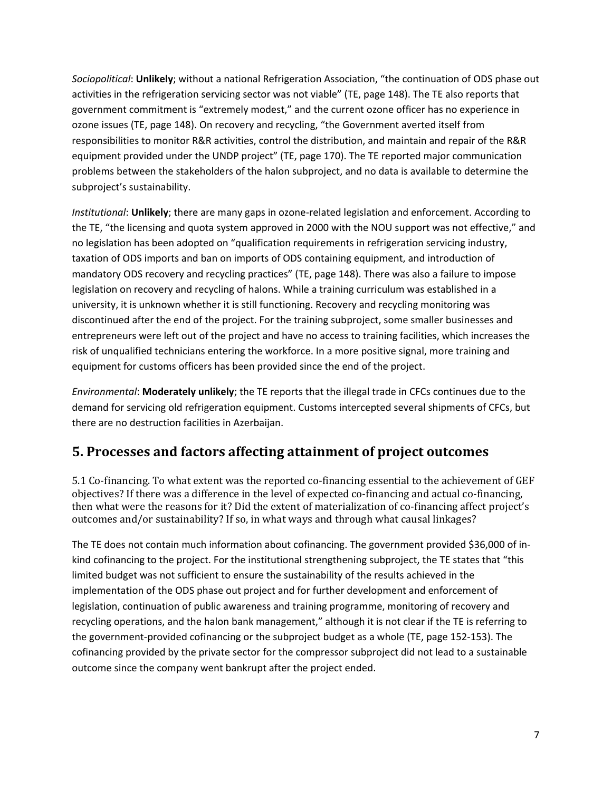*Sociopolitical*: **Unlikely**; without a national Refrigeration Association, "the continuation of ODS phase out activities in the refrigeration servicing sector was not viable" (TE, page 148). The TE also reports that government commitment is "extremely modest," and the current ozone officer has no experience in ozone issues (TE, page 148). On recovery and recycling, "the Government averted itself from responsibilities to monitor R&R activities, control the distribution, and maintain and repair of the R&R equipment provided under the UNDP project" (TE, page 170). The TE reported major communication problems between the stakeholders of the halon subproject, and no data is available to determine the subproject's sustainability.

*Institutional*: **Unlikely**; there are many gaps in ozone-related legislation and enforcement. According to the TE, "the licensing and quota system approved in 2000 with the NOU support was not effective," and no legislation has been adopted on "qualification requirements in refrigeration servicing industry, taxation of ODS imports and ban on imports of ODS containing equipment, and introduction of mandatory ODS recovery and recycling practices" (TE, page 148). There was also a failure to impose legislation on recovery and recycling of halons. While a training curriculum was established in a university, it is unknown whether it is still functioning. Recovery and recycling monitoring was discontinued after the end of the project. For the training subproject, some smaller businesses and entrepreneurs were left out of the project and have no access to training facilities, which increases the risk of unqualified technicians entering the workforce. In a more positive signal, more training and equipment for customs officers has been provided since the end of the project.

*Environmental*: **Moderately unlikely**; the TE reports that the illegal trade in CFCs continues due to the demand for servicing old refrigeration equipment. Customs intercepted several shipments of CFCs, but there are no destruction facilities in Azerbaijan.

#### **5. Processes and factors affecting attainment of project outcomes**

5.1 Co-financing. To what extent was the reported co-financing essential to the achievement of GEF objectives? If there was a difference in the level of expected co-financing and actual co-financing, then what were the reasons for it? Did the extent of materialization of co-financing affect project's outcomes and/or sustainability? If so, in what ways and through what causal linkages?

The TE does not contain much information about cofinancing. The government provided \$36,000 of inkind cofinancing to the project. For the institutional strengthening subproject, the TE states that "this limited budget was not sufficient to ensure the sustainability of the results achieved in the implementation of the ODS phase out project and for further development and enforcement of legislation, continuation of public awareness and training programme, monitoring of recovery and recycling operations, and the halon bank management," although it is not clear if the TE is referring to the government-provided cofinancing or the subproject budget as a whole (TE, page 152-153). The cofinancing provided by the private sector for the compressor subproject did not lead to a sustainable outcome since the company went bankrupt after the project ended.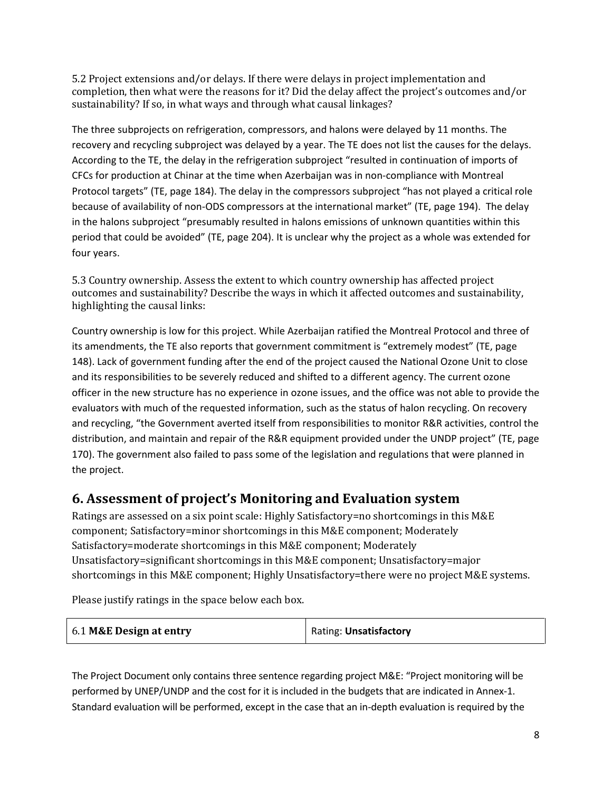5.2 Project extensions and/or delays. If there were delays in project implementation and completion, then what were the reasons for it? Did the delay affect the project's outcomes and/or sustainability? If so, in what ways and through what causal linkages?

The three subprojects on refrigeration, compressors, and halons were delayed by 11 months. The recovery and recycling subproject was delayed by a year. The TE does not list the causes for the delays. According to the TE, the delay in the refrigeration subproject "resulted in continuation of imports of CFCs for production at Chinar at the time when Azerbaijan was in non-compliance with Montreal Protocol targets" (TE, page 184). The delay in the compressors subproject "has not played a critical role because of availability of non-ODS compressors at the international market" (TE, page 194). The delay in the halons subproject "presumably resulted in halons emissions of unknown quantities within this period that could be avoided" (TE, page 204). It is unclear why the project as a whole was extended for four years.

5.3 Country ownership. Assess the extent to which country ownership has affected project outcomes and sustainability? Describe the ways in which it affected outcomes and sustainability, highlighting the causal links:

Country ownership is low for this project. While Azerbaijan ratified the Montreal Protocol and three of its amendments, the TE also reports that government commitment is "extremely modest" (TE, page 148). Lack of government funding after the end of the project caused the National Ozone Unit to close and its responsibilities to be severely reduced and shifted to a different agency. The current ozone officer in the new structure has no experience in ozone issues, and the office was not able to provide the evaluators with much of the requested information, such as the status of halon recycling. On recovery and recycling, "the Government averted itself from responsibilities to monitor R&R activities, control the distribution, and maintain and repair of the R&R equipment provided under the UNDP project" (TE, page 170). The government also failed to pass some of the legislation and regulations that were planned in the project.

#### **6. Assessment of project's Monitoring and Evaluation system**

Ratings are assessed on a six point scale: Highly Satisfactory=no shortcomings in this M&E component; Satisfactory=minor shortcomings in this M&E component; Moderately Satisfactory=moderate shortcomings in this M&E component; Moderately Unsatisfactory=significant shortcomings in this M&E component; Unsatisfactory=major shortcomings in this M&E component; Highly Unsatisfactory=there were no project M&E systems.

Please justify ratings in the space below each box.

| 6.1 M&E Design at entry | Rating: Unsatisfactory |
|-------------------------|------------------------|
|-------------------------|------------------------|

The Project Document only contains three sentence regarding project M&E: "Project monitoring will be performed by UNEP/UNDP and the cost for it is included in the budgets that are indicated in Annex-1. Standard evaluation will be performed, except in the case that an in-depth evaluation is required by the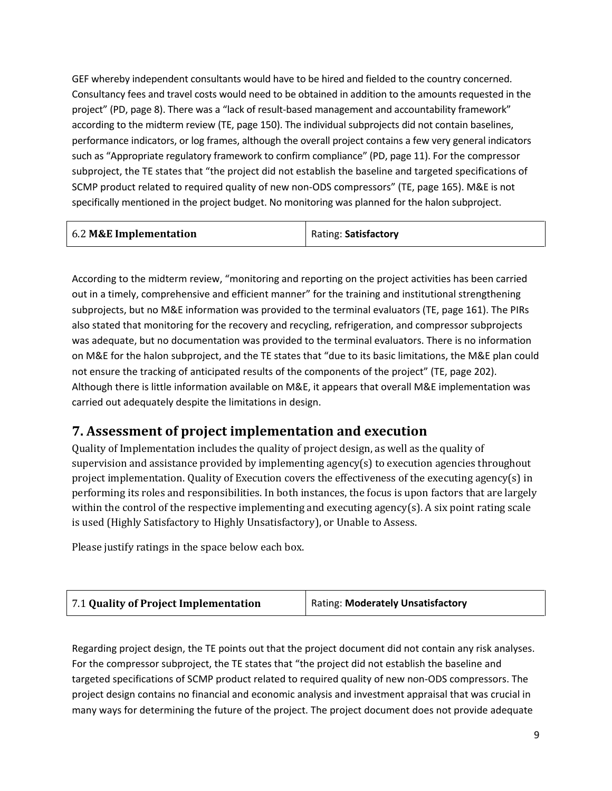GEF whereby independent consultants would have to be hired and fielded to the country concerned. Consultancy fees and travel costs would need to be obtained in addition to the amounts requested in the project" (PD, page 8). There was a "lack of result-based management and accountability framework" according to the midterm review (TE, page 150). The individual subprojects did not contain baselines, performance indicators, or log frames, although the overall project contains a few very general indicators such as "Appropriate regulatory framework to confirm compliance" (PD, page 11). For the compressor subproject, the TE states that "the project did not establish the baseline and targeted specifications of SCMP product related to required quality of new non-ODS compressors" (TE, page 165). M&E is not specifically mentioned in the project budget. No monitoring was planned for the halon subproject.

| 6.2 M&E Implementation | Rating: Satisfactory |  |
|------------------------|----------------------|--|

According to the midterm review, "monitoring and reporting on the project activities has been carried out in a timely, comprehensive and efficient manner" for the training and institutional strengthening subprojects, but no M&E information was provided to the terminal evaluators (TE, page 161). The PIRs also stated that monitoring for the recovery and recycling, refrigeration, and compressor subprojects was adequate, but no documentation was provided to the terminal evaluators. There is no information on M&E for the halon subproject, and the TE states that "due to its basic limitations, the M&E plan could not ensure the tracking of anticipated results of the components of the project" (TE, page 202). Although there is little information available on M&E, it appears that overall M&E implementation was carried out adequately despite the limitations in design.

#### **7. Assessment of project implementation and execution**

Quality of Implementation includes the quality of project design, as well as the quality of supervision and assistance provided by implementing agency(s) to execution agencies throughout project implementation. Quality of Execution covers the effectiveness of the executing agency(s) in performing its roles and responsibilities. In both instances, the focus is upon factors that are largely within the control of the respective implementing and executing agency(s). A six point rating scale is used (Highly Satisfactory to Highly Unsatisfactory), or Unable to Assess.

Please justify ratings in the space below each box.

| <b>Rating: Moderately Unsatisfactory</b> |
|------------------------------------------|
|                                          |

Regarding project design, the TE points out that the project document did not contain any risk analyses. For the compressor subproject, the TE states that "the project did not establish the baseline and targeted specifications of SCMP product related to required quality of new non-ODS compressors. The project design contains no financial and economic analysis and investment appraisal that was crucial in many ways for determining the future of the project. The project document does not provide adequate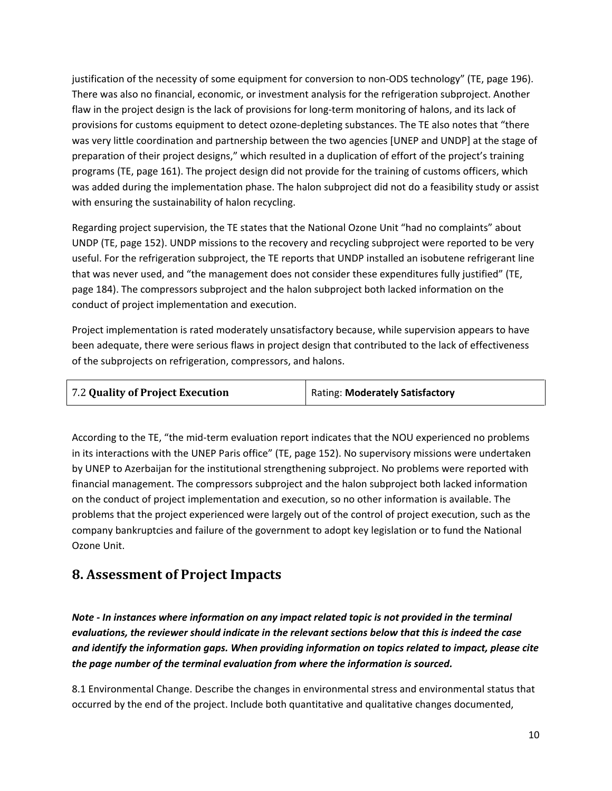justification of the necessity of some equipment for conversion to non‐ODS technology" (TE, page 196). There was also no financial, economic, or investment analysis for the refrigeration subproject. Another flaw in the project design is the lack of provisions for long-term monitoring of halons, and its lack of provisions for customs equipment to detect ozone-depleting substances. The TE also notes that "there was very little coordination and partnership between the two agencies [UNEP and UNDP] at the stage of preparation of their project designs," which resulted in a duplication of effort of the project's training programs (TE, page 161). The project design did not provide for the training of customs officers, which was added during the implementation phase. The halon subproject did not do a feasibility study or assist with ensuring the sustainability of halon recycling.

Regarding project supervision, the TE states that the National Ozone Unit "had no complaints" about UNDP (TE, page 152). UNDP missions to the recovery and recycling subproject were reported to be very useful. For the refrigeration subproject, the TE reports that UNDP installed an isobutene refrigerant line that was never used, and "the management does not consider these expenditures fully justified" (TE, page 184). The compressors subproject and the halon subproject both lacked information on the conduct of project implementation and execution.

Project implementation is rated moderately unsatisfactory because, while supervision appears to have been adequate, there were serious flaws in project design that contributed to the lack of effectiveness of the subprojects on refrigeration, compressors, and halons.

| 7.2 Quality of Project Execution | Rating: Moderately Satisfactory |
|----------------------------------|---------------------------------|
|----------------------------------|---------------------------------|

According to the TE, "the mid‐term evaluation report indicates that the NOU experienced no problems in its interactions with the UNEP Paris office" (TE, page 152). No supervisory missions were undertaken by UNEP to Azerbaijan for the institutional strengthening subproject. No problems were reported with financial management. The compressors subproject and the halon subproject both lacked information on the conduct of project implementation and execution, so no other information is available. The problems that the project experienced were largely out of the control of project execution, such as the company bankruptcies and failure of the government to adopt key legislation or to fund the National Ozone Unit.

#### **8. Assessment of Project Impacts**

*Note - In instances where information on any impact related topic is not provided in the terminal evaluations, the reviewer should indicate in the relevant sections below that this is indeed the case and identify the information gaps. When providing information on topics related to impact, please cite the page number of the terminal evaluation from where the information is sourced.* 

8.1 Environmental Change. Describe the changes in environmental stress and environmental status that occurred by the end of the project. Include both quantitative and qualitative changes documented,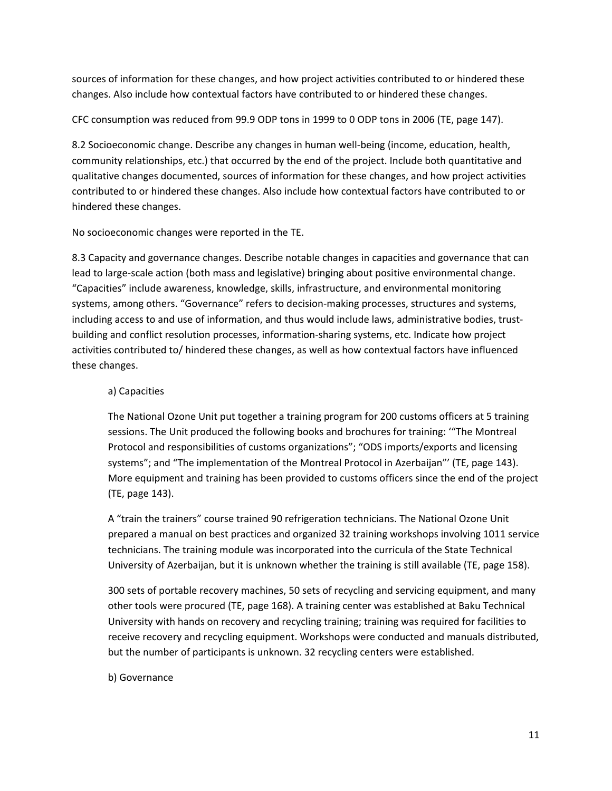sources of information for these changes, and how project activities contributed to or hindered these changes. Also include how contextual factors have contributed to or hindered these changes.

CFC consumption was reduced from 99.9 ODP tons in 1999 to 0 ODP tons in 2006 (TE, page 147).

8.2 Socioeconomic change. Describe any changes in human well-being (income, education, health, community relationships, etc.) that occurred by the end of the project. Include both quantitative and qualitative changes documented, sources of information for these changes, and how project activities contributed to or hindered these changes. Also include how contextual factors have contributed to or hindered these changes.

No socioeconomic changes were reported in the TE.

8.3 Capacity and governance changes. Describe notable changes in capacities and governance that can lead to large-scale action (both mass and legislative) bringing about positive environmental change. "Capacities" include awareness, knowledge, skills, infrastructure, and environmental monitoring systems, among others. "Governance" refers to decision-making processes, structures and systems, including access to and use of information, and thus would include laws, administrative bodies, trustbuilding and conflict resolution processes, information-sharing systems, etc. Indicate how project activities contributed to/ hindered these changes, as well as how contextual factors have influenced these changes.

#### a) Capacities

The National Ozone Unit put together a training program for 200 customs officers at 5 training sessions. The Unit produced the following books and brochures for training: '"The Montreal Protocol and responsibilities of customs organizations"; "ODS imports/exports and licensing systems"; and "The implementation of the Montreal Protocol in Azerbaijan"' (TE, page 143). More equipment and training has been provided to customs officers since the end of the project (TE, page 143).

A "train the trainers" course trained 90 refrigeration technicians. The National Ozone Unit prepared a manual on best practices and organized 32 training workshops involving 1011 service technicians. The training module was incorporated into the curricula of the State Technical University of Azerbaijan, but it is unknown whether the training is still available (TE, page 158).

300 sets of portable recovery machines, 50 sets of recycling and servicing equipment, and many other tools were procured (TE, page 168). A training center was established at Baku Technical University with hands on recovery and recycling training; training was required for facilities to receive recovery and recycling equipment. Workshops were conducted and manuals distributed, but the number of participants is unknown. 32 recycling centers were established.

b) Governance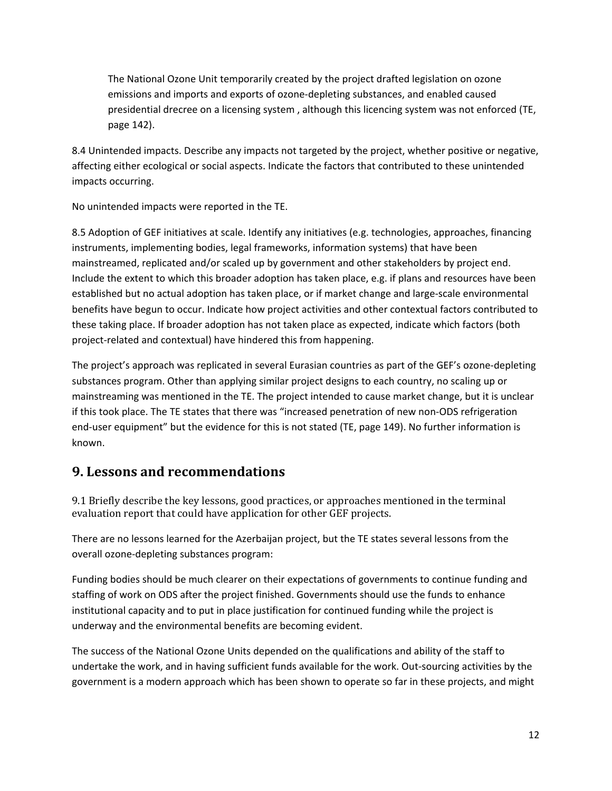The National Ozone Unit temporarily created by the project drafted legislation on ozone emissions and imports and exports of ozone-depleting substances, and enabled caused presidential drecree on a licensing system , although this licencing system was not enforced (TE, page 142).

8.4 Unintended impacts. Describe any impacts not targeted by the project, whether positive or negative, affecting either ecological or social aspects. Indicate the factors that contributed to these unintended impacts occurring.

No unintended impacts were reported in the TE.

8.5 Adoption of GEF initiatives at scale. Identify any initiatives (e.g. technologies, approaches, financing instruments, implementing bodies, legal frameworks, information systems) that have been mainstreamed, replicated and/or scaled up by government and other stakeholders by project end. Include the extent to which this broader adoption has taken place, e.g. if plans and resources have been established but no actual adoption has taken place, or if market change and large-scale environmental benefits have begun to occur. Indicate how project activities and other contextual factors contributed to these taking place. If broader adoption has not taken place as expected, indicate which factors (both project-related and contextual) have hindered this from happening.

The project's approach was replicated in several Eurasian countries as part of the GEF's ozone-depleting substances program. Other than applying similar project designs to each country, no scaling up or mainstreaming was mentioned in the TE. The project intended to cause market change, but it is unclear if this took place. The TE states that there was "increased penetration of new non‐ODS refrigeration end-user equipment" but the evidence for this is not stated (TE, page 149). No further information is known.

#### **9. Lessons and recommendations**

9.1 Briefly describe the key lessons, good practices, or approaches mentioned in the terminal evaluation report that could have application for other GEF projects.

There are no lessons learned for the Azerbaijan project, but the TE states several lessons from the overall ozone-depleting substances program:

Funding bodies should be much clearer on their expectations of governments to continue funding and staffing of work on ODS after the project finished. Governments should use the funds to enhance institutional capacity and to put in place justification for continued funding while the project is underway and the environmental benefits are becoming evident.

The success of the National Ozone Units depended on the qualifications and ability of the staff to undertake the work, and in having sufficient funds available for the work. Out‐sourcing activities by the government is a modern approach which has been shown to operate so far in these projects, and might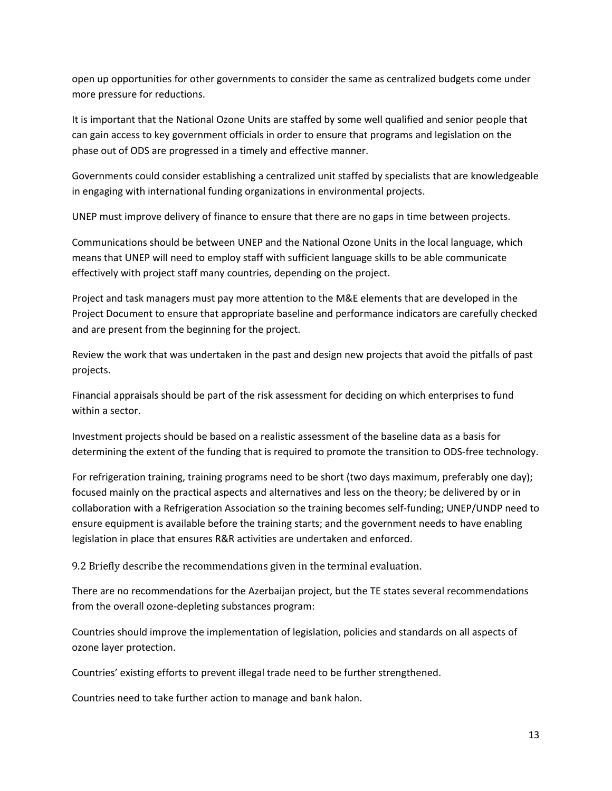open up opportunities for other governments to consider the same as centralized budgets come under more pressure for reductions.

It is important that the National Ozone Units are staffed by some well qualified and senior people that can gain access to key government officials in order to ensure that programs and legislation on the phase out of ODS are progressed in a timely and effective manner.

Governments could consider establishing a centralized unit staffed by specialists that are knowledgeable in engaging with international funding organizations in environmental projects.

UNEP must improve delivery of finance to ensure that there are no gaps in time between projects.

Communications should be between UNEP and the National Ozone Units in the local language, which means that UNEP will need to employ staff with sufficient language skills to be able communicate effectively with project staff many countries, depending on the project.

Project and task managers must pay more attention to the M&E elements that are developed in the Project Document to ensure that appropriate baseline and performance indicators are carefully checked and are present from the beginning for the project.

Review the work that was undertaken in the past and design new projects that avoid the pitfalls of past projects.

Financial appraisals should be part of the risk assessment for deciding on which enterprises to fund within a sector.

Investment projects should be based on a realistic assessment of the baseline data as a basis for determining the extent of the funding that is required to promote the transition to ODS‐free technology.

For refrigeration training, training programs need to be short (two days maximum, preferably one day); focused mainly on the practical aspects and alternatives and less on the theory; be delivered by or in collaboration with a Refrigeration Association so the training becomes self-funding; UNEP/UNDP need to ensure equipment is available before the training starts; and the government needs to have enabling legislation in place that ensures R&R activities are undertaken and enforced.

9.2 Briefly describe the recommendations given in the terminal evaluation.

There are no recommendations for the Azerbaijan project, but the TE states several recommendations from the overall ozone-depleting substances program:

Countries should improve the implementation of legislation, policies and standards on all aspects of ozone layer protection.

Countries' existing efforts to prevent illegal trade need to be further strengthened.

Countries need to take further action to manage and bank halon.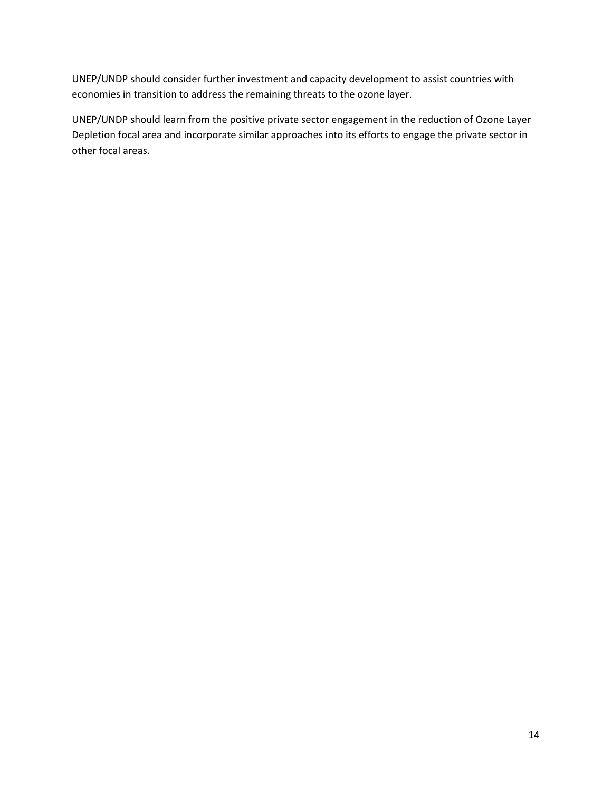UNEP/UNDP should consider further investment and capacity development to assist countries with economies in transition to address the remaining threats to the ozone layer.

UNEP/UNDP should learn from the positive private sector engagement in the reduction of Ozone Layer Depletion focal area and incorporate similar approaches into its efforts to engage the private sector in other focal areas.